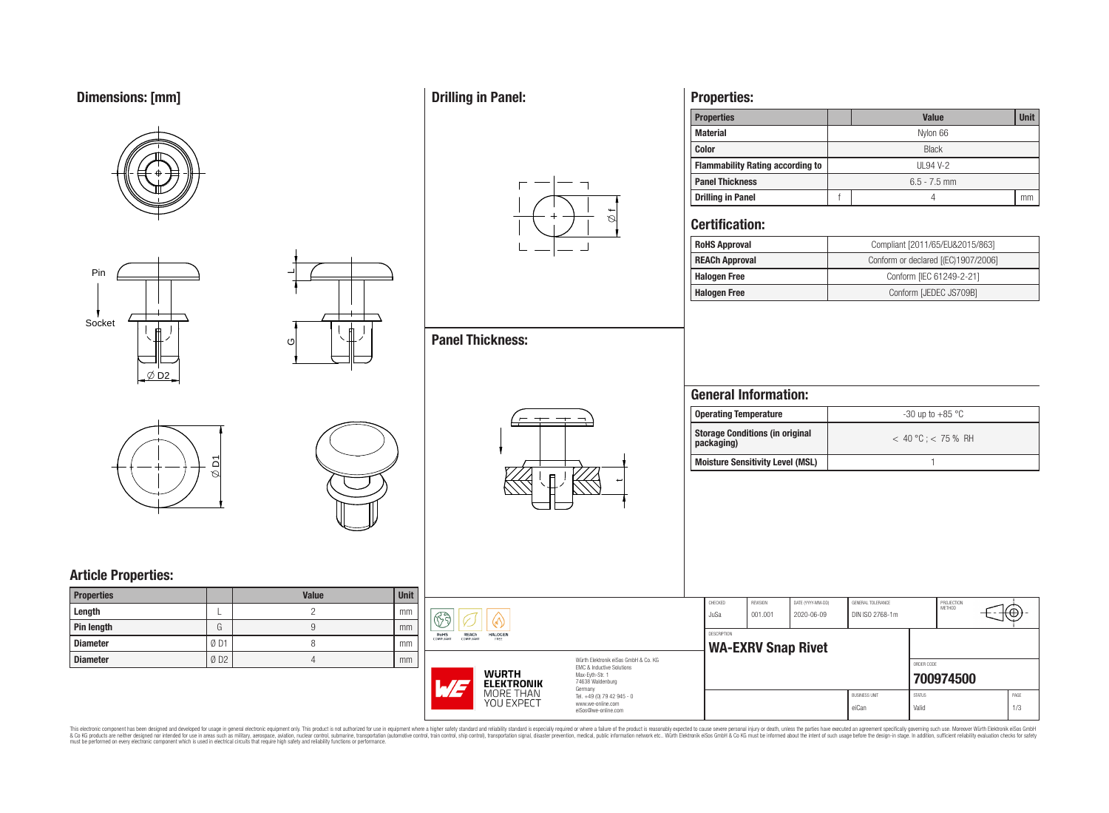# **Dimensions: [mm]**









 $\overline{\phantom{0}}$ 

ပ

# **Article Properties:**

| <b>Properties</b> |     | <b>Value</b> | <b>Unit</b> |
|-------------------|-----|--------------|-------------|
| Length            |     |              | mm          |
| <b>Pin length</b> | G   |              | mm          |
| Diameter          | ØD1 |              | mm          |
| Diameter          | ØD2 |              | mm          |

# **Drilling in Panel:**



 $\overline{\phantom{a}}$ 

## **Properties:**

| <b>Properties</b>                       |                | <b>Value</b> | <b>Unit</b> |  |  |  |  |
|-----------------------------------------|----------------|--------------|-------------|--|--|--|--|
| <b>Material</b>                         |                | Nylon 66     |             |  |  |  |  |
| <b>Color</b>                            | <b>Black</b>   |              |             |  |  |  |  |
| <b>Flammability Rating according to</b> | UL94 V-2       |              |             |  |  |  |  |
| <b>Panel Thickness</b>                  | $6.5 - 7.5$ mm |              |             |  |  |  |  |
| <b>Drilling in Panel</b>                |                |              |             |  |  |  |  |

### **Certification:**

| <b>RoHS Approval</b>  | Compliant [2011/65/EU&2015/863]     |
|-----------------------|-------------------------------------|
| <b>REACh Approval</b> | Conform or declared [(EC)1907/2006] |
| <b>Halogen Free</b>   | Conform [IEC 61249-2-21]            |
| <b>Halogen Free</b>   | Conform [JEDEC JS709B]              |

# **General Information:**

| <b>Operating Temperature</b>                         | $-30$ up to $+85$ °C    |
|------------------------------------------------------|-------------------------|
| <b>Storage Conditions (in original</b><br>packaging) | $< 40 °C$ : $< 75 %$ RH |
| Moisture Sensitivity Level (MSL)                     |                         |

| it. |                                                                                 |                                                                   |                    |                           |                   |                      |               |                             |      |
|-----|---------------------------------------------------------------------------------|-------------------------------------------------------------------|--------------------|---------------------------|-------------------|----------------------|---------------|-----------------------------|------|
|     |                                                                                 |                                                                   | CHECKED            | <b>REVISION</b>           | DATE (YYYY-MM-DD) | GENERAL TOLERANCE    |               | PROJECTION<br><b>METHOD</b> |      |
| n   | $\mathcal{R}$ à                                                                 |                                                                   | JuSa               | 001.001                   | 2020-06-09        | DIN ISO 2768-1m      |               |                             | ⊕    |
| n.  |                                                                                 |                                                                   |                    |                           |                   |                      |               |                             |      |
|     | RoHS<br><b>REACh</b><br><b>HALOGEN</b><br><b>COMPLIANT</b><br>COMPLIANT<br>FREE |                                                                   | <b>DESCRIPTION</b> |                           |                   |                      |               |                             |      |
|     |                                                                                 |                                                                   |                    | <b>WA-EXRV Snap Rivet</b> |                   |                      |               |                             |      |
| n.  |                                                                                 | Würth Elektronik eiSos GmbH & Co. KG<br>FMC & Inductive Solutions |                    |                           |                   |                      | ORDER CODE    |                             |      |
|     | <b>WURTH</b><br>$\sqrt{7}$<br><b>ELEKTRONIK</b>                                 | Max-Eyth-Str. 1<br>74638 Waldenburg<br>Germany                    |                    |                           |                   |                      |               | 700974500                   |      |
|     | MORE THAN                                                                       | Tel. +49 (0) 79 42 945 - 0                                        |                    |                           |                   | <b>BUSINESS UNIT</b> | <b>STATUS</b> |                             | PAGE |
|     | YOU EXPECT                                                                      | www.we-online.com<br>eiSos@we-online.com                          |                    |                           |                   | eiCan                | Valid         |                             | 1/3  |

This electronic component has been designed and developed for usage in general electronic equipment only. This product is not authorized for subserved requipment where a higher selection equipment where a higher selection

## **Panel Thickness:**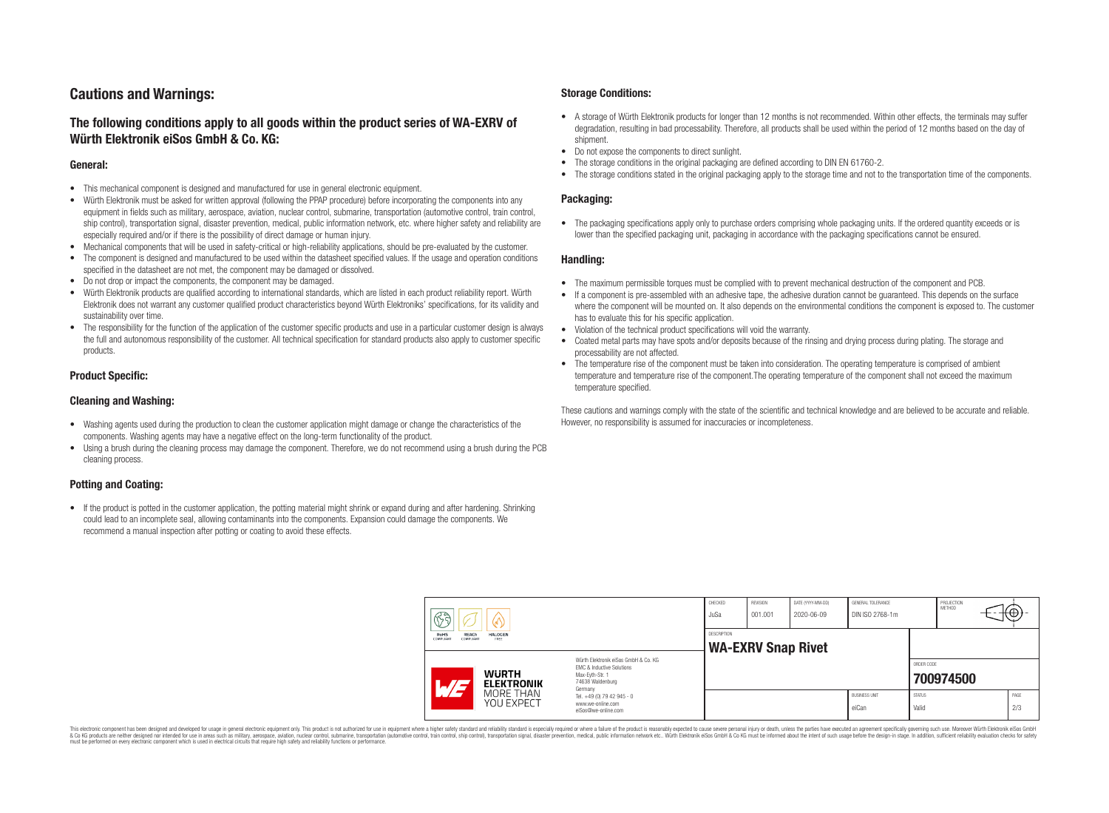## **Cautions and Warnings:**

### **The following conditions apply to all goods within the product series of WA-EXRV of Würth Elektronik eiSos GmbH & Co. KG:**

#### **General:**

- This mechanical component is designed and manufactured for use in general electronic equipment.
- Würth Elektronik must be asked for written approval (following the PPAP procedure) before incorporating the components into any equipment in fields such as military, aerospace, aviation, nuclear control, submarine, transportation (automotive control, train control, ship control), transportation signal, disaster prevention, medical, public information network, etc. where higher safety and reliability are especially required and/or if there is the possibility of direct damage or human injury.
- Mechanical components that will be used in safety-critical or high-reliability applications, should be pre-evaluated by the customer.
- The component is designed and manufactured to be used within the datasheet specified values. If the usage and operation conditions specified in the datasheet are not met, the component may be damaged or dissolved.
- Do not drop or impact the components, the component may be damaged.<br>• Wirth Elektronik products are qualified according to international standard
- Würth Elektronik products are qualified according to international standards, which are listed in each product reliability report. Würth Elektronik does not warrant any customer qualified product characteristics beyond Würth Elektroniks' specifications, for its validity and sustainability over time.
- The responsibility for the function of the application of the customer specific products and use in a particular customer design is always the full and autonomous responsibility of the customer. All technical specification for standard products also apply to customer specific products.

#### **Product Specific:**

#### **Cleaning and Washing:**

- Washing agents used during the production to clean the customer application might damage or change the characteristics of the components. Washing agents may have a negative effect on the long-term functionality of the product.
- Using a brush during the cleaning process may damage the component. Therefore, we do not recommend using a brush during the PCB cleaning process.

#### **Potting and Coating:**

• If the product is potted in the customer application, the potting material might shrink or expand during and after hardening. Shrinking could lead to an incomplete seal, allowing contaminants into the components. Expansion could damage the components. We recommend a manual inspection after potting or coating to avoid these effects.

#### **Storage Conditions:**

- A storage of Würth Elektronik products for longer than 12 months is not recommended. Within other effects, the terminals may suffer degradation, resulting in bad processability. Therefore, all products shall be used within the period of 12 months based on the day of shipment.
- Do not expose the components to direct sunlight.<br>• The storage conditions in the original packaging
- The storage conditions in the original packaging are defined according to DIN EN 61760-2.
- The storage conditions stated in the original packaging apply to the storage time and not to the transportation time of the components.

#### **Packaging:**

• The packaging specifications apply only to purchase orders comprising whole packaging units. If the ordered quantity exceeds or is lower than the specified packaging unit, packaging in accordance with the packaging specifications cannot be ensured.

#### **Handling:**

- The maximum permissible torques must be complied with to prevent mechanical destruction of the component and PCB.
- If a component is pre-assembled with an adhesive tape, the adhesive duration cannot be guaranteed. This depends on the surface where the component will be mounted on. It also depends on the environmental conditions the component is exposed to. The customer has to evaluate this for his specific application.
- Violation of the technical product specifications will void the warranty.
- Coated metal parts may have spots and/or deposits because of the rinsing and drying process during plating. The storage and processability are not affected.
- The temperature rise of the component must be taken into consideration. The operating temperature is comprised of ambient temperature and temperature rise of the component.The operating temperature of the component shall not exceed the maximum temperature specified.

These cautions and warnings comply with the state of the scientific and technical knowledge and are believed to be accurate and reliable. However, no responsibility is assumed for inaccuracies or incompleteness.

| $\mathbb{C}^2$                          |                                   |                                                                                                                     | CHECKED<br>JuSa | <b>REVISION</b><br>001.001 | DATE (YYYY-MM-DD)<br>2020-06-09 | GENERAL TOLERANCE<br>DIN ISO 2768-1m |                        | PROJECTION<br>METHOD | ₭⊕}         |  |
|-----------------------------------------|-----------------------------------|---------------------------------------------------------------------------------------------------------------------|-----------------|----------------------------|---------------------------------|--------------------------------------|------------------------|----------------------|-------------|--|
| RoHS<br>REACh<br>COMPLIANT<br>COMPLIANT | <b>HALOGEN</b><br>FREE            |                                                                                                                     | DESCRIPTION     | <b>WA-EXRV Snap Rivet</b>  |                                 |                                      |                        |                      |             |  |
| $\overline{\phantom{a}}$                | <b>WURTH</b><br><b>ELEKTRONIK</b> | Würth Elektronik eiSos GmbH & Co. KG<br>EMC & Inductive Solutions<br>Max-Evth-Str. 1<br>74638 Waldenburg<br>Germany |                 |                            |                                 |                                      | ORDER CODE             | 700974500            |             |  |
|                                         | MORE THAN<br>YOU EXPECT           | Tel. +49 (0) 79 42 945 - 0<br>www.we-online.com<br>eiSos@we-online.com                                              |                 |                            |                                 | <b>BUSINESS UNIT</b><br>eiCan        | <b>STATUS</b><br>Valid |                      | PAGE<br>2/3 |  |

This electronic component has been designed and developed for usage in general electronic equipment only. This product is not authorized for use in equipment where a higher safety standard and reliability standard si espec & Ook product a label and the membed of the seasuch as marked and as which such a membed and the such assume that income in the seasuch and the simulation and the such assume that include to the such a membed and the such